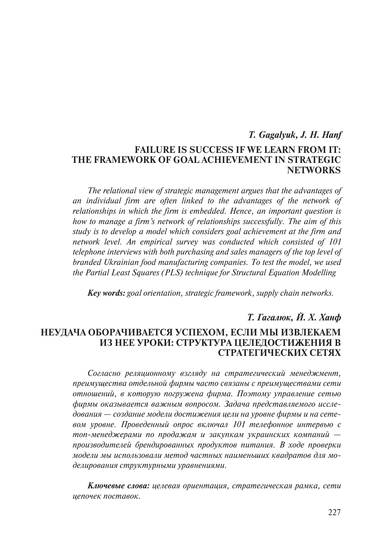# *T. Gagalyuk, J. H. Hanf*  **Failure is Success if We Learn from It: The Framework of Goal Achievement in Strategic Networks**

*The relational view of strategic management argues that the advantages of an individual firm are often linked to the advantages of the network of relationships in which the firm is embedded. Hence, an important question is how to manage a firm's network of relationships successfully. The aim of this study is to develop a model which considers goal achievement at the firm and network level. An empirical survey was conducted which consisted of 101 telephone interviews with both purchasing and sales managers of the top level of branded Ukrainian food manufacturing companies. To test the model, we used the Partial Least Squares (PLS) technique for Structural Equation Modelling*

*Key words: goal orientation, strategic framework, supply chain networks.*

## *Т. Гагалюк, Й. Х. Ханф*

## **Неудача оборачивается успехом, если мы извлекаем из нее уроки: структура целедостижения в стратегических сетях**

*Согласно реляционному взгляду на стратегический менеджмент, преимущества отдельной фирмы часто связаны с преимуществами сети отношений, в которую погружена фирма. Поэтому управление сетью фирмы оказывается важным вопросом. Задача представляемого исследования — создание модели достижения цели на уровне фирмы и на сетевом уровне. Проведенный опрос включал 101 телефонное интервью с топ-менеджерами по продажам и закупкам украинских компаний производителей брендированных продуктов питания. В ходе проверки модели мы использовали метод частных наименьших квадратов для моделирования структурными уравнениями.*

*Ключевые слова: целевая ориентация, стратегическая рамка, сети цепочек поставок.*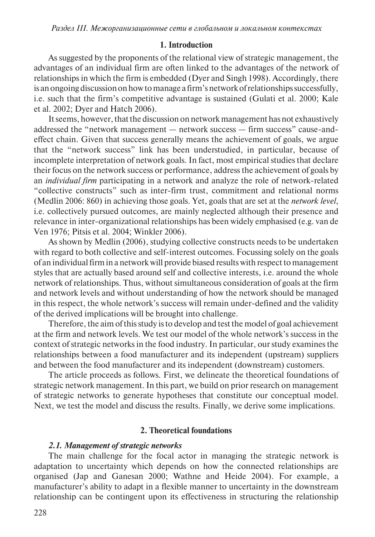#### **1. Introduction**

As suggested by the proponents of the relational view of strategic management, the advantages of an individual firm are often linked to the advantages of the network of relationships in which the firm is embedded (Dyer and Singh 1998). Accordingly, there is an ongoing discussion on how to manage a firm's network of relationships successfully, i.e. such that the firm's competitive advantage is sustained (Gulati et al. 2000; Kale et al. 2002; Dyer and Hatch 2006).

It seems, however, that the discussion on network management has not exhaustively addressed the "network management — network success — firm success" cause-andeffect chain. Given that success generally means the achievement of goals, we argue that the "network success" link has been understudied, in particular, because of incomplete interpretation of network goals. In fact, most empirical studies that declare their focus on the network success or performance, address the achievement of goals by an *individual firm* participating in a network and analyze the role of network-related "collective constructs" such as inter-firm trust, commitment and relational norms (Medlin 2006: 860) in achieving those goals. Yet, goals that are set at the *network level*, i.e. collectively pursued outcomes, are mainly neglected although their presence and relevance in inter-organizational relationships has been widely emphasised (e.g. van de Ven 1976; Pitsis et al. 2004; Winkler 2006).

As shown by Medlin (2006), studying collective constructs needs to be undertaken with regard to both collective and self-interest outcomes. Focussing solely on the goals of an individual firm in a network will provide biased results with respect to management styles that are actually based around self and collective interests, i.e. around the whole network of relationships. Thus, without simultaneous consideration of goals at the firm and network levels and without understanding of how the network should be managed in this respect, the whole network's success will remain under-defined and the validity of the derived implications will be brought into challenge.

Therefore, the aim of this study is to develop and test the model of goal achievement at the firm and network levels. We test our model of the whole network's success in the context of strategic networks in the food industry. In particular, our study examines the relationships between a food manufacturer and its independent (upstream) suppliers and between the food manufacturer and its independent (downstream) customers.

The article proceeds as follows. First, we delineate the theoretical foundations of strategic network management. In this part, we build on prior research on management of strategic networks to generate hypotheses that constitute our conceptual model. Next, we test the model and discuss the results. Finally, we derive some implications.

## **2. Theoretical foundations**

### *2.1. Management of strategic networks*

The main challenge for the focal actor in managing the strategic network is adaptation to uncertainty which depends on how the connected relationships are organised (Jap and Ganesan 2000; Wathne and Heide 2004). For example, a manufacturer's ability to adapt in a flexible manner to uncertainty in the downstream relationship can be contingent upon its effectiveness in structuring the relationship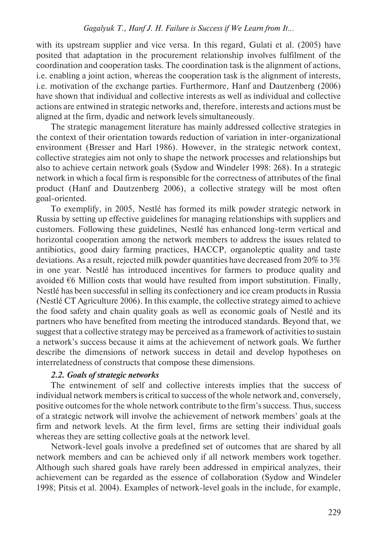with its upstream supplier and vice versa. In this regard, Gulati et al. (2005) have posited that adaptation in the procurement relationship involves fulfilment of the coordination and cooperation tasks. The coordination task is the alignment of actions, i.e. enabling a joint action, whereas the cooperation task is the alignment of interests, i.e. motivation of the exchange parties. Furthermore, Hanf and Dautzenberg (2006) have shown that individual and collective interests as well as individual and collective actions are entwined in strategic networks and, therefore, interests and actions must be aligned at the firm, dyadic and network levels simultaneously.

The strategic management literature has mainly addressed collective strategies in the context of their orientation towards reduction of variation in inter-organizational environment (Bresser and Harl 1986). However, in the strategic network context, collective strategies aim not only to shape the network processes and relationships but also to achieve certain network goals (Sydow and Windeler 1998: 268). In a strategic network in which a focal firm is responsible for the correctness of attributes of the final product (Hanf and Dautzenberg 2006), a collective strategy will be most often goal-oriented.

To exemplify, in 2005, Nestlé has formed its milk powder strategic network in Russia by setting up effective guidelines for managing relationships with suppliers and customers. Following these guidelines, Nestlé has enhanced long-term vertical and horizontal cooperation among the network members to address the issues related to antibiotics, good dairy farming practices, HACCP, organoleptic quality and taste deviations. As a result, rejected milk powder quantities have decreased from 20% to 3% in one year. Nestlé has introduced incentives for farmers to produce quality and avoided  $66$  Million costs that would have resulted from import substitution. Finally, Nestlé has been successful in selling its confectionery and ice cream products in Russia (Nestlé CT Agriculture 2006). In this example, the collective strategy aimed to achieve the food safety and chain quality goals as well as economic goals of Nestlé and its partners who have benefited from meeting the introduced standards. Beyond that, we suggest that a collective strategy may be perceived as a framework of activities to sustain a network's success because it aims at the achievement of network goals. We further describe the dimensions of network success in detail and develop hypotheses on interrelatedness of constructs that compose these dimensions.

### *2.2. Goals of strategic networks*

The entwinement of self and collective interests implies that the success of individual network members is critical to success of the whole network and, conversely, positive outcomes for the whole network contribute to the firm's success. Thus, success of a strategic network will involve the achievement of network members' goals at the firm and network levels. At the firm level, firms are setting their individual goals whereas they are setting collective goals at the network level.

Network-level goals involve a predefined set of outcomes that are shared by all network members and can be achieved only if all network members work together. Although such shared goals have rarely been addressed in empirical analyzes, their achievement can be regarded as the essence of collaboration (Sydow and Windeler 1998; Pitsis et al. 2004). Examples of network-level goals in the include, for example,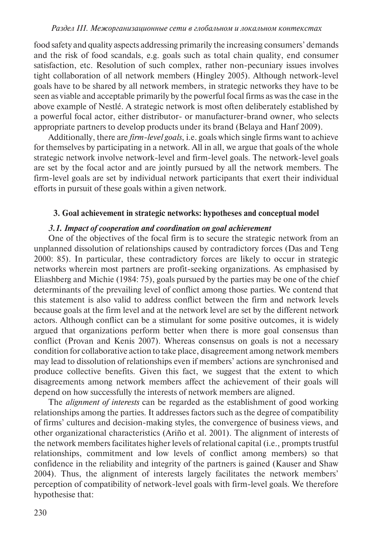food safety and quality aspects addressing primarily the increasing consumers' demands and the risk of food scandals, e.g. goals such as total chain quality, end consumer satisfaction, etc. Resolution of such complex, rather non-pecuniary issues involves tight collaboration of all network members (Hingley 2005). Although network-level goals have to be shared by all network members, in strategic networks they have to be seen as viable and acceptable primarily by the powerful focal firms as was the case in the above example of Nestlé. A strategic network is most often deliberately established by a powerful focal actor, either distributor- or manufacturer-brand owner, who selects appropriate partners to develop products under its brand (Belaya and Hanf 2009).

Additionally, there are *firm-level goals*, i.e. goals which single firms want to achieve for themselves by participating in a network. All in all, we argue that goals of the whole strategic network involve network-level and firm-level goals. The network-level goals are set by the focal actor and are jointly pursued by all the network members. The firm-level goals are set by individual network participants that exert their individual efforts in pursuit of these goals within a given network.

### **3. Goal achievement in strategic networks: hypotheses and conceptual model**

### *3.1. Impact of cooperation and coordination on goal achievement*

One of the objectives of the focal firm is to secure the strategic network from an unplanned dissolution of relationships caused by contradictory forces (Das and Teng 2000: 85). In particular, these contradictory forces are likely to occur in strategic networks wherein most partners are profit-seeking organizations. As emphasised by Eliashberg and Michie (1984: 75), goals pursued by the parties may be one of the chief determinants of the prevailing level of conflict among those parties. We contend that this statement is also valid to address conflict between the firm and network levels because goals at the firm level and at the network level are set by the different network actors. Although conflict can be a stimulant for some positive outcomes, it is widely argued that organizations perform better when there is more goal consensus than conflict (Provan and Kenis 2007). Whereas consensus on goals is not a necessary condition for collaborative action to take place, disagreement among network members may lead to dissolution of relationships even if members' actions are synchronised and produce collective benefits. Given this fact, we suggest that the extent to which disagreements among network members affect the achievement of their goals will depend on how successfully the interests of network members are aligned.

The *alignment of interests* can be regarded as the establishment of good working relationships among the parties. It addresses factors such as the degree of compatibility of firms' cultures and decision-making styles, the convergence of business views, and other organizational characteristics (Ariño et al. 2001). The alignment of interests of the network members facilitates higher levels of relational capital (i.e., prompts trustful relationships, commitment and low levels of conflict among members) so that confidence in the reliability and integrity of the partners is gained (Kauser and Shaw 2004). Thus, the alignment of interests largely facilitates the network members' perception of compatibility of network-level goals with firm-level goals. We therefore hypothesise that: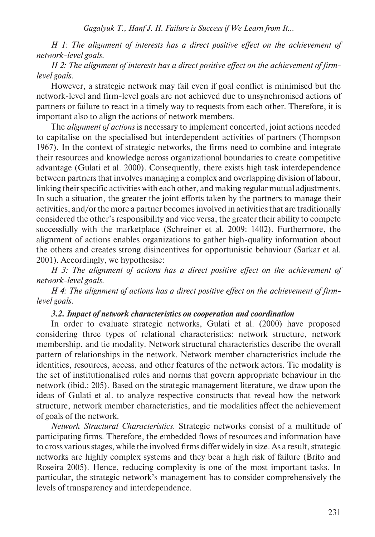*H 1: The alignment of interests has a direct positive effect on the achievement of network-level goals.*

*H 2: The alignment of interests has a direct positive effect on the achievement of firmlevel goals.*

However, a strategic network may fail even if goal conflict is minimised but the network-level and firm-level goals are not achieved due to unsynchronised actions of partners or failure to react in a timely way to requests from each other. Therefore, it is important also to align the actions of network members.

The *alignment of actions* is necessary to implement concerted, joint actions needed to capitalise on the specialised but interdependent activities of partners (Thompson 1967). In the context of strategic networks, the firms need to combine and integrate their resources and knowledge across organizational boundaries to create competitive advantage (Gulati et al. 2000). Consequently, there exists high task interdependence between partners that involves managing a complex and overlapping division of labour, linking their specific activities with each other, and making regular mutual adjustments. In such a situation, the greater the joint efforts taken by the partners to manage their activities, and/or the more a partner becomes involved in activities that are traditionally considered the other's responsibility and vice versa, the greater their ability to compete successfully with the marketplace (Schreiner et al. 2009: 1402). Furthermore, the alignment of actions enables organizations to gather high-quality information about the others and creates strong disincentives for opportunistic behaviour (Sarkar et al. 2001). Accordingly, we hypothesise:

*H 3: The alignment of actions has a direct positive effect on the achievement of network-level goals.*

*H 4: The alignment of actions has a direct positive effect on the achievement of firmlevel goals.*

### *3.2. Impact of network characteristics on cooperation and coordination*

In order to evaluate strategic networks, Gulati et al. (2000) have proposed considering three types of relational characteristics: network structure, network membership, and tie modality. Network structural characteristics describe the overall pattern of relationships in the network. Network member characteristics include the identities, resources, access, and other features of the network actors. Tie modality is the set of institutionalised rules and norms that govern appropriate behaviour in the network (ibid.: 205). Based on the strategic management literature, we draw upon the ideas of Gulati et al. to analyze respective constructs that reveal how the network structure, network member characteristics, and tie modalities affect the achievement of goals of the network.

*Network Structural Characteristics*. Strategic networks consist of a multitude of participating firms. Therefore, the embedded flows of resources and information have to cross various stages, while the involved firms differ widely in size. As a result, strategic networks are highly complex systems and they bear a high risk of failure (Brito and Roseira 2005). Hence, reducing complexity is one of the most important tasks. In particular, the strategic network's management has to consider comprehensively the levels of transparency and interdependence.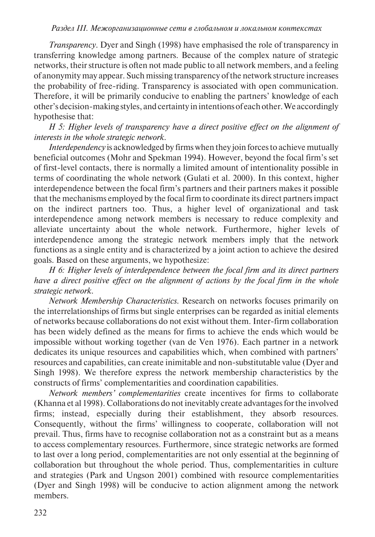*Transparency.* Dyer and Singh (1998) have emphasised the role of transparency in transferring knowledge among partners. Because of the complex nature of strategic networks, their structure is often not made public to all network members, and a feeling of anonymity may appear. Such missing transparency of the network structure increases the probability of free-riding. Transparency is associated with open communication. Therefore, it will be primarily conducive to enabling the partners' knowledge of each other's decision-making styles, and certainty in intentions of each other. We accordingly hypothesise that:

*H 5: Higher levels of transparency have a direct positive effect on the alignment of interests in the whole strategic network.*

*Interdependency* is acknowledged by firms when they join forces to achieve mutually beneficial outcomes (Mohr and Spekman 1994). However, beyond the focal firm's set of first-level contacts, there is normally a limited amount of intentionality possible in terms of coordinating the whole network (Gulati et al. 2000). In this context, higher interdependence between the focal firm's partners and their partners makes it possible that the mechanisms employed by the focal firm to coordinate its direct partners impact on the indirect partners too. Thus, a higher level of organizational and task interdependence among network members is necessary to reduce complexity and alleviate uncertainty about the whole network. Furthermore, higher levels of interdependence among the strategic network members imply that the network functions as a single entity and is characterized by a joint action to achieve the desired goals. Based on these arguments, we hypothesize:

*H 6: Higher levels of interdependence between the focal firm and its direct partners have a direct positive effect on the alignment of actions by the focal firm in the whole strategic network.*

*Network Membership Characteristics*. Research on networks focuses primarily on the interrelationships of firms but single enterprises can be regarded as initial elements of networks because collaborations do not exist without them. Inter-firm collaboration has been widely defined as the means for firms to achieve the ends which would be impossible without working together (van de Ven 1976). Each partner in a network dedicates its unique resources and capabilities which, when combined with partners' resources and capabilities, can create inimitable and non-substitutable value (Dyer and Singh 1998). We therefore express the network membership characteristics by the constructs of firms' complementarities and coordination capabilities.

*Network members' complementarities* create incentives for firms to collaborate (Khanna et al 1998). Collaborations do not inevitably create advantages for the involved firms; instead, especially during their establishment, they absorb resources. Consequently, without the firms' willingness to cooperate, collaboration will not prevail. Thus, firms have to recognise collaboration not as a constraint but as a means to access complementary resources. Furthermore, since strategic networks are formed to last over a long period, complementarities are not only essential at the beginning of collaboration but throughout the whole period. Thus, complementarities in culture and strategies (Park and Ungson 2001) combined with resource complementarities (Dyer and Singh 1998) will be conducive to action alignment among the network members.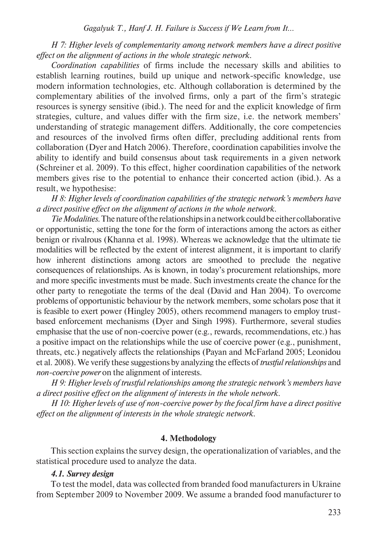## *H 7: Higher levels of complementarity among network members have a direct positive effect on the alignment of actions in the whole strategic network.*

*Coordination capabilities* of firms include the necessary skills and abilities to establish learning routines, build up unique and network-specific knowledge, use modern information technologies, etc. Although collaboration is determined by the complementary abilities of the involved firms, only a part of the firm's strategic resources is synergy sensitive (ibid.). The need for and the explicit knowledge of firm strategies, culture, and values differ with the firm size, i.e. the network members' understanding of strategic management differs. Additionally, the core competencies and resources of the involved firms often differ, precluding additional rents from collaboration (Dyer and Hatch 2006). Therefore, coordination capabilities involve the ability to identify and build consensus about task requirements in a given network (Schreiner et al. 2009). To this effect, higher coordination capabilities of the network members gives rise to the potential to enhance their concerted action (ibid.). As a result, we hypothesise:

*H 8: Higher levels of coordination capabilities of the strategic network's members have a direct positive effect on the alignment of actions in the whole network.* 

*Tie Modalities*. The nature of the relationships in a network could be either collaborative or opportunistic, setting the tone for the form of interactions among the actors as either benign or rivalrous (Khanna et al. 1998). Whereas we acknowledge that the ultimate tie modalities will be reflected by the extent of interest alignment, it is important to clarify how inherent distinctions among actors are smoothed to preclude the negative consequences of relationships. As is known, in today's procurement relationships, more and more specific investments must be made. Such investments create the chance for the other party to renegotiate the terms of the deal (David and Han 2004). To overcome problems of opportunistic behaviour by the network members, some scholars pose that it is feasible to exert power (Hingley 2005), others recommend managers to employ trustbased enforcement mechanisms (Dyer and Singh 1998). Furthermore, several studies emphasise that the use of non-coercive power (e.g., rewards, recommendations, etc.) has a positive impact on the relationships while the use of coercive power (e.g., punishment, threats, etc.) negatively affects the relationships (Payan and McFarland 2005; Leonidou et al. 2008). We verify these suggestions by analyzing the effects of *trustful relationships* and *non-coercive power* on the alignment of interests.

*H 9: Higher levels of trustful relationships among the strategic network's members have a direct positive effect on the alignment of interests in the whole network.*

*H 10: Higher levels of use of non-coercive power by the focal firm have a direct positive effect on the alignment of interests in the whole strategic network.*

#### **4. Methodology**

This section explains the survey design, the operationalization of variables, and the statistical procedure used to analyze the data.

#### *4.1. Survey design*

To test the model, data was collected from branded food manufacturers in Ukraine from September 2009 to November 2009. We assume a branded food manufacturer to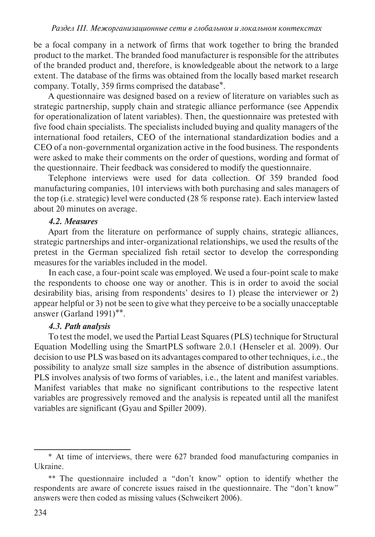be a focal company in a network of firms that work together to bring the branded product to the market. The branded food manufacturer is responsible for the attributes of the branded product and, therefore, is knowledgeable about the network to a large extent. The database of the firms was obtained from the locally based market research company. Totally, 359 firms comprised the database\*.

A questionnaire was designed based on a review of literature on variables such as strategic partnership, supply chain and strategic alliance performance (see Appendix for operationalization of latent variables). Then, the questionnaire was pretested with five food chain specialists. The specialists included buying and quality managers of the international food retailers, CEO of the international standardization bodies and a CEO of a non-governmental organization active in the food business. The respondents were asked to make their comments on the order of questions, wording and format of the questionnaire. Their feedback was considered to modify the questionnaire.

Telephone interviews were used for data collection. Of 359 branded food manufacturing companies, 101 interviews with both purchasing and sales managers of the top (i.e. strategic) level were conducted (28 % response rate). Each interview lasted about 20 minutes on average.

## *4.2. Measures*

Apart from the literature on performance of supply chains, strategic alliances, strategic partnerships and inter-organizational relationships, we used the results of the pretest in the German specialized fish retail sector to develop the corresponding measures for the variables included in the model.

In each case, a four-point scale was employed. We used a four-point scale to make the respondents to choose one way or another. This is in order to avoid the social desirability bias, arising from respondents' desires to 1) please the interviewer or 2) appear helpful or 3) not be seen to give what they perceive to be a socially unacceptable answer (Garland 1991)\*\*.

### *4.3. Path analysis*

To test the model, we used the Partial Least Squares (PLS) technique for Structural Equation Modelling using the SmartPLS software 2.0.1 (Henseler et al. 2009). Our decision to use PLS was based on its advantages compared to other techniques, i.e., the possibility to analyze small size samples in the absence of distribution assumptions. PLS involves analysis of two forms of variables, i.e., the latent and manifest variables. Manifest variables that make no significant contributions to the respective latent variables are progressively removed and the analysis is repeated until all the manifest variables are significant (Gyau and Spiller 2009).

<sup>\*</sup> At time of interviews, there were 627 branded food manufacturing companies in Ukraine.

<sup>\*\*</sup> The questionnaire included a "don't know" option to identify whether the respondents are aware of concrete issues raised in the questionnaire. The "don't know" answers were then coded as missing values (Schweikert 2006).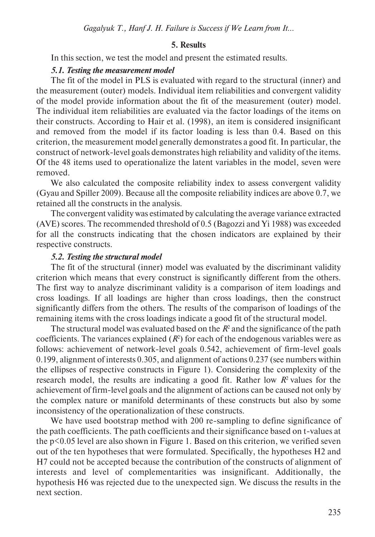## **5. Results**

In this section, we test the model and present the estimated results.

### *5.1. Testing the measurement model*

The fit of the model in PLS is evaluated with regard to the structural (inner) and the measurement (outer) models. Individual item reliabilities and convergent validity of the model provide information about the fit of the measurement (outer) model. The individual item reliabilities are evaluated via the factor loadings of the items on their constructs. According to Hair et al. (1998), an item is considered insignificant and removed from the model if its factor loading is less than 0.4. Based on this criterion, the measurement model generally demonstrates a good fit. In particular, the construct of network-level goals demonstrates high reliability and validity of the items. Of the 48 items used to operationalize the latent variables in the model, seven were removed.

We also calculated the composite reliability index to assess convergent validity (Gyau and Spiller 2009). Because all the composite reliability indices are above 0.7, we retained all the constructs in the analysis.

The convergent validity was estimated by calculating the average variance extracted (AVE) scores. The recommended threshold of 0.5 (Bagozzi and Yi 1988) was exceeded for all the constructs indicating that the chosen indicators are explained by their respective constructs.

### *5.2. Testing the structural model*

The fit of the structural (inner) model was evaluated by the discriminant validity criterion which means that every construct is significantly different from the others. The first way to analyze discriminant validity is a comparison of item loadings and cross loadings. If all loadings are higher than cross loadings, then the construct significantly differs from the others. The results of the comparison of loadings of the remaining items with the cross loadings indicate a good fit of the structural model.

The structural model was evaluated based on the  $R<sup>2</sup>$  and the significance of the path coefficients. The variances explained  $(R^2)$  for each of the endogenous variables were as follows: achievement of network-level goals 0.542, achievement of firm-level goals 0.199, alignment of interests 0.305, and alignment of actions 0.237 (see numbers within the ellipses of respective constructs in Figure 1). Considering the complexity of the research model, the results are indicating a good fit. Rather low  $R<sup>2</sup>$  values for the achievement of firm-level goals and the alignment of actions can be caused not only by the complex nature or manifold determinants of these constructs but also by some inconsistency of the operationalization of these constructs.

We have used bootstrap method with 200 re-sampling to define significance of the path coefficients. The path coefficients and their significance based on t-values at the p<0.05 level are also shown in Figure 1. Based on this criterion, we verified seven out of the ten hypotheses that were formulated. Specifically, the hypotheses H2 and H7 could not be accepted because the contribution of the constructs of alignment of interests and level of complementarities was insignificant. Additionally, the hypothesis H6 was rejected due to the unexpected sign. We discuss the results in the next section.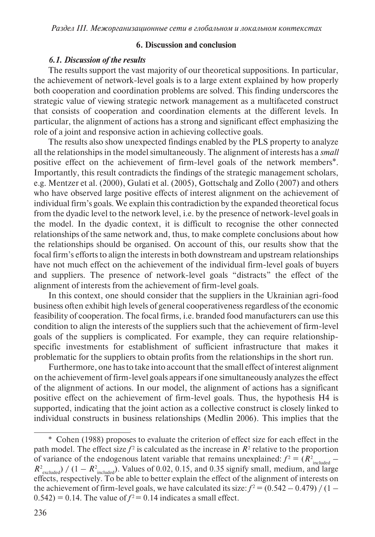## **6. Discussion and conclusion**

## *6.1. Discussion of the results*

The results support the vast majority of our theoretical suppositions. In particular, the achievement of network-level goals is to a large extent explained by how properly both cooperation and coordination problems are solved. This finding underscores the strategic value of viewing strategic network management as a multifaceted construct that consists of cooperation and coordination elements at the different levels. In particular, the alignment of actions has a strong and significant effect emphasizing the role of a joint and responsive action in achieving collective goals.

The results also show unexpected findings enabled by the PLS property to analyze all the relationships in the model simultaneously. The alignment of interests has a *small* positive effect on the achievement of firm-level goals of the network members\*. Importantly, this result contradicts the findings of the strategic management scholars, e.g. Mentzer et al. (2000), Gulati et al. (2005), Gottschalg and Zollo (2007) and others who have observed large positive effects of interest alignment on the achievement of individual firm's goals. We explain this contradiction by the expanded theoretical focus from the dyadic level to the network level, i.e. by the presence of network-level goals in the model. In the dyadic context, it is difficult to recognise the other connected relationships of the same network and, thus, to make complete conclusions about how the relationships should be organised. On account of this, our results show that the focal firm's efforts to align the interests in both downstream and upstream relationships have not much effect on the achievement of the individual firm-level goals of buyers and suppliers. The presence of network-level goals "distracts" the effect of the alignment of interests from the achievement of firm-level goals.

In this context, one should consider that the suppliers in the Ukrainian agri-food business often exhibit high levels of general cooperativeness regardless of the economic feasibility of cooperation. The focal firms, i.e. branded food manufacturers can use this condition to align the interests of the suppliers such that the achievement of firm-level goals of the suppliers is complicated. For example, they can require relationshipspecific investments for establishment of sufficient infrastructure that makes it problematic for the suppliers to obtain profits from the relationships in the short run.

Furthermore, one has to take into account that the small effect of interest alignment on the achievement of firm-level goals appears if one simultaneously analyzes the effect of the alignment of actions. In our model, the alignment of actions has a significant positive effect on the achievement of firm-level goals. Thus, the hypothesis H4 is supported, indicating that the joint action as a collective construct is closely linked to individual constructs in business relationships (Medlin 2006). This implies that the

<sup>\*</sup> Cohen (1988) proposes to evaluate the criterion of effect size for each effect in the path model. The effect size  $f^2$  is calculated as the increase in  $R^2$  relative to the proportion of variance of the endogenous latent variable that remains unexplained:  $f^2 = (R^2_{induced} R^2_{\text{excluded}}$ ) / (1 –  $R^2_{\text{included}}$ ). Values of 0.02, 0.15, and 0.35 signify small, medium, and large effects, respectively. To be able to better explain the effect of the alignment of interests on the achievement of firm-level goals, we have calculated its size:  $f^2 = (0.542 - 0.479) / (1 (0.542) = 0.14$ . The value of  $f^2 = 0.14$  indicates a small effect.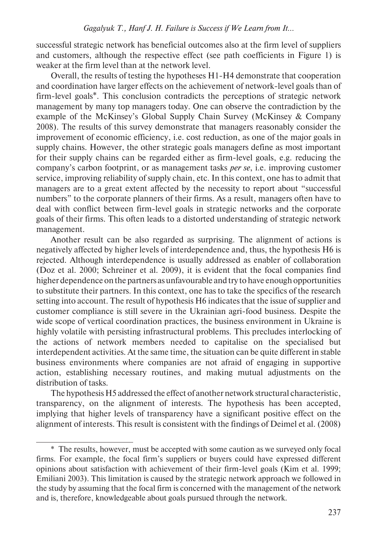successful strategic network has beneficial outcomes also at the firm level of suppliers and customers, although the respective effect (see path coefficients in Figure 1) is weaker at the firm level than at the network level.

Overall, the results of testing the hypotheses H1-H4 demonstrate that cooperation and coordination have larger effects on the achievement of network-level goals than of firm-level goals\*. This conclusion contradicts the perceptions of strategic network management by many top managers today. One can observe the contradiction by the example of the McKinsey's Global Supply Chain Survey (McKinsey & Company 2008). The results of this survey demonstrate that managers reasonably consider the improvement of economic efficiency, i.e. cost reduction, as one of the major goals in supply chains. However, the other strategic goals managers define as most important for their supply chains can be regarded either as firm-level goals, e.g. reducing the company's carbon footprint, or as management tasks *per se*, i.e. improving customer service, improving reliability of supply chain, etc. In this context, one has to admit that managers are to a great extent affected by the necessity to report about "successful numbers" to the corporate planners of their firms. As a result, managers often have to deal with conflict between firm-level goals in strategic networks and the corporate goals of their firms. This often leads to a distorted understanding of strategic network management.

Another result can be also regarded as surprising. The alignment of actions is negatively affected by higher levels of interdependence and, thus, the hypothesis H6 is rejected. Although interdependence is usually addressed as enabler of collaboration (Doz et al. 2000; Schreiner et al. 2009), it is evident that the focal companies find higher dependence on the partners as unfavourable and try to have enough opportunities to substitute their partners. In this context, one has to take the specifics of the research setting into account. The result of hypothesis H6 indicates that the issue of supplier and customer compliance is still severe in the Ukrainian agri-food business. Despite the wide scope of vertical coordination practices, the business environment in Ukraine is highly volatile with persisting infrastructural problems. This precludes interlocking of the actions of network members needed to capitalise on the specialised but interdependent activities. At the same time, the situation can be quite different in stable business environments where companies are not afraid of engaging in supportive action, establishing necessary routines, and making mutual adjustments on the distribution of tasks.

The hypothesis H5 addressed the effect of another network structural characteristic, transparency, on the alignment of interests. The hypothesis has been accepted, implying that higher levels of transparency have a significant positive effect on the alignment of interests. This result is consistent with the findings of Deimel et al. (2008)

<sup>\*</sup> The results, however, must be accepted with some caution as we surveyed only focal firms. For example, the focal firm's suppliers or buyers could have expressed different opinions about satisfaction with achievement of their firm-level goals (Kim et al. 1999; Emiliani 2003). This limitation is caused by the strategic network approach we followed in the study by assuming that the focal firm is concerned with the management of the network and is, therefore, knowledgeable about goals pursued through the network.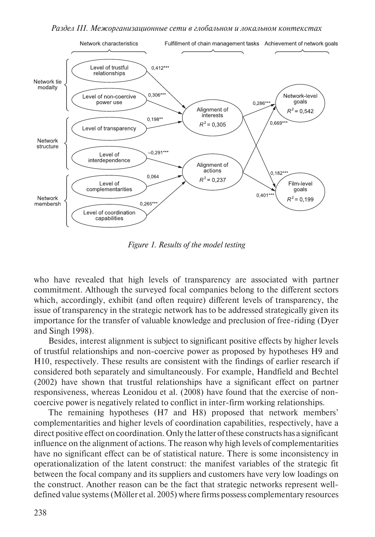*Раздел iii. Межорганизационные сети в глобальном и локальном контекстах*



*Figure 1. Results of the model testing*

who have revealed that high levels of transparency are associated with partner commitment. Although the surveyed focal companies belong to the different sectors which, accordingly, exhibit (and often require) different levels of transparency, the issue of transparency in the strategic network has to be addressed strategically given its importance for the transfer of valuable knowledge and preclusion of free-riding (Dyer and Singh 1998).

Besides, interest alignment is subject to significant positive effects by higher levels of trustful relationships and non-coercive power as proposed by hypotheses H9 and H10, respectively. These results are consistent with the findings of earlier research if considered both separately and simultaneously. For example, Handfield and Bechtel (2002) have shown that trustful relationships have a significant effect on partner responsiveness, whereas Leonidou et al. (2008) have found that the exercise of noncoercive power is negatively related to conflict in inter-firm working relationships.

The remaining hypotheses (H7 and H8) proposed that network members' complementarities and higher levels of coordination capabilities, respectively, have a direct positive effect on coordination. Only the latter of these constructs has a significant influence on the alignment of actions. The reason why high levels of complementarities have no significant effect can be of statistical nature. There is some inconsistency in operationalization of the latent construct: the manifest variables of the strategic fit between the focal company and its suppliers and customers have very low loadings on the construct. Another reason can be the fact that strategic networks represent welldefined value systems (Möller et al. 2005) where firms possess complementary resources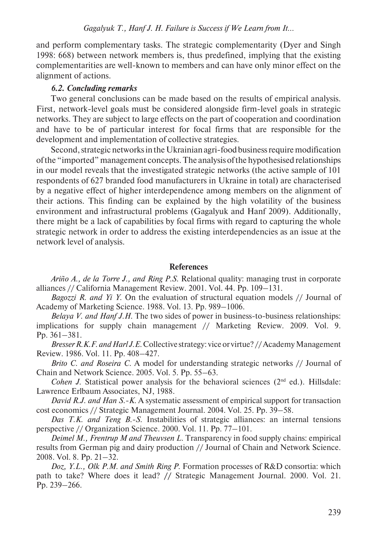and perform complementary tasks. The strategic complementarity (Dyer and Singh 1998: 668) between network members is, thus predefined, implying that the existing complementarities are well-known to members and can have only minor effect on the alignment of actions.

#### *6.2. Concluding remarks*

Two general conclusions can be made based on the results of empirical analysis. First, network-level goals must be considered alongside firm-level goals in strategic networks. They are subject to large effects on the part of cooperation and coordination and have to be of particular interest for focal firms that are responsible for the development and implementation of collective strategies.

Second, strategic networks in the Ukrainian agri-food business require modification of the "imported" management concepts. The analysis of the hypothesised relationships in our model reveals that the investigated strategic networks (the active sample of 101 respondents of 627 branded food manufacturers in Ukraine in total) are characterised by a negative effect of higher interdependence among members on the alignment of their actions. This finding can be explained by the high volatility of the business environment and infrastructural problems (Gagalyuk and Hanf 2009). Additionally, there might be a lack of capabilities by focal firms with regard to capturing the whole strategic network in order to address the existing interdependencies as an issue at the network level of analysis.

## **References**

*Ariño A., de la Torre J., and Ring P.S*. Relational quality: managing trust in corporate alliances // California Management Review. 2001. Vol. 44. Pp. 109–131.

*Bagozzi R. and Yi Y*. On the evaluation of structural equation models // Journal of Academy of Marketing Science. 1988. Vol. 13. Pp. 989–1006.

*Belaya V. and Hanf J.H.* The two sides of power in business-to-business relationships: implications for supply chain management // Marketing Review. 2009. Vol. 9. Pp. 361–381.

*Bresser R.K.F. and Harl J.E*. Collective strategy: vice or virtue? // Academy Management Review. 1986. Vol. 11. Pp. 408–427.

*Brito C. and Roseira C*. A model for understanding strategic networks // Journal of Chain and Network Science. 2005. Vol. 5. Pp. 55–63.

*Cohen J.* Statistical power analysis for the behavioral sciences (2<sup>nd</sup> ed.). Hillsdale: Lawrence Erlbaum Associates, NJ, 1988.

*David R.J. and Han S.-K.* A systematic assessment of empirical support for transaction cost economics // Strategic Management Journal. 2004. Vol. 25. Pp. 39–58.

*Das T.K. and Teng B.-S*. Instabilities of strategic alliances: an internal tensions perspective // Organization Science. 2000. Vol. 11. Pp. 77–101.

*Deimel M., Frentrup M and Theuvsen L*. Transparency in food supply chains: empirical results from German pig and dairy production // Journal of Chain and Network Science. 2008. Vol. 8. Pp. 21–32.

*Doz, Y.L., Olk P.M. and Smith Ring P*. Formation processes of R&D consortia: which path to take? Where does it lead? **//** Strategic Management Journal. 2000. Vol. 21. Pp. 239–266.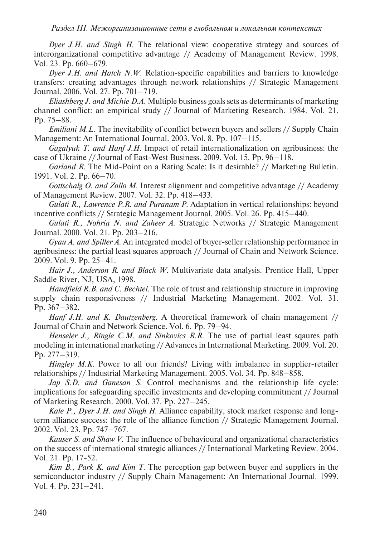*Раздел iii. Межорганизационные сети в глобальном и локальном контекстах*

*Dyer J.H. and Singh H*. The relational view: cooperative strategy and sources of interorganizational competitive advantage // Academy of Management Review. 1998. Vol. 23. Pp. 660–679.

*Dyer J.H. and Hatch N.W*. Relation-specific capabilities and barriers to knowledge transfers: creating advantages through network relationships // Strategic Management Journal. 2006. Vol. 27. Pp. 701–719.

*Eliashberg J. and Michie D.A*. Multiple business goals sets as determinants of marketing channel conflict: an empirical study // Journal of Marketing Research. 1984. Vol. 21. Pp. 75–88.

*Emiliani M.L.* The inevitability of conflict between buyers and sellers // Supply Chain Management: An International Journal. 2003. Vol. 8. Pp. 107–115.

*Gagalyuk T. and Hanf J.H*. Impact of retail internationalization on agribusiness: the case of Ukraine // Journal of East-West Business. 2009. Vol. 15. Pp. 96–118.

*Garland R*. The Mid-Point on a Rating Scale: Is it desirable? // Marketing Bulletin. 1991. Vol. 2. Pp. 66–70.

*Gottschalg O. and Zollo M*. Interest alignment and competitive advantage // Academy of Management Review. 2007. Vol. 32. Pp. 418–433.

*Gulati R., Lawrence P.R. and Puranam P*. Adaptation in vertical relationships: beyond incentive conflicts // Strategic Management Journal. 2005. Vol. 26. Pp. 415–440.

*Gulati R., Nohria N. and Zaheer A*. Strategic Networks // Strategic Management Journal. 2000. Vol. 21. Pp. 203–216.

*Gyau A. and Spiller A*. An integrated model of buyer-seller relationship performance in agribusiness: the partial least squares approach // Journal of Chain and Network Science. 2009. Vol. 9. Pp. 25–41.

*Hair J., Anderson R. and Black W*. Multivariate data analysis. Prentice Hall, Upper Saddle River, NJ, USA, 1998.

*Handfield R.B. and C. Bechtel*. The role of trust and relationship structure in improving supply chain responsiveness // Industrial Marketing Management. 2002. Vol. 31. Pp. 367–382.

*Hanf J.H. and K. Dautzenberg*. A theoretical framework of chain management // Journal of Chain and Network Science. Vol. 6. Pp. 79–94.

*Henseler J., Ringle C.M. and Sinkovics R.R*. The use of partial least sqaures path modeling in international marketing // Advances in International Marketing. 2009. Vol. 20. Pp. 277–319.

*Hingley M.K*. Power to all our friends? Living with imbalance in supplier-retailer relationships // Industrial Marketing Management. 2005. Vol. 34. Pp. 848–858.

*Jap S.D. and Ganesan S*. Control mechanisms and the relationship life cycle: implications for safeguarding specific investments and developing commitment // Journal of Marketing Research. 2000. Vol. 37. Pp. 227–245.

*Kale P., Dyer J.H. and Singh H*. Alliance capability, stock market response and longterm alliance success: the role of the alliance function // Strategic Management Journal. 2002. Vol. 23. Pp. 747–767.

*Kauser S. and Shaw V*. The influence of behavioural and organizational characteristics on the success of international strategic alliances // International Marketing Review. 2004. Vol. 21. Pp. 17-52.

*Kim B., Park K. and Kim T*. The perception gap between buyer and suppliers in the semiconductor industry // Supply Chain Management: An International Journal. 1999. Vol. 4. Pp. 231–241.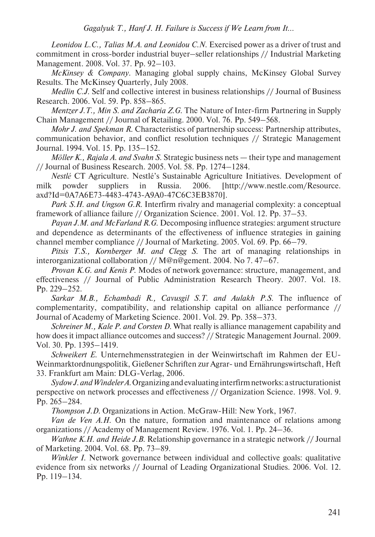*Leonidou L.C., Talias M.A. and Leonidou C.N*. Exercised power as a driver of trust and commitment in cross-border industrial buyer–seller relationships // Industrial Marketing Management. 2008. Vol. 37. Pp. 92–103.

*McKinsey & Company*. Managing global supply chains, McKinsey Global Survey Results. The McKinsey Quarterly, July 2008.

*Medlin C.J*. Self and collective interest in business relationships // Journal of Business Research. 2006. Vol. 59. Pp. 858–865.

*Mentzer J.T., Min S. and Zacharia Z.G*. The Nature of Inter-firm Partnering in Supply Chain Management // Journal of Retailing. 2000. Vol. 76. Pp. 549–568.

*Mohr J. and Spekman R*. Characteristics of partnership success: Partnership attributes, communication behavior, and conflict resolution techniques // Strategic Management Journal. 1994. Vol. 15. Pp. 135–152.

*Möller K., Rajala A. and Svahn S*. Strategic business nets — their type and management // Journal of Business Research. 2005. Vol. 58. Pp. 1274–1284.

*Nestlé* CT Agriculture. Nestlé's Sustainable Agriculture Initiatives. Development of milk powder suppliers in Russia. 2006. [http://www.nestle.com/Resource. axd?Id=0A7A6E73-4483-4743-A9A0-47C6C3EB3870].

*Park S.H. and Ungson G.R*. Interfirm rivalry and managerial complexity: a conceptual framework of alliance failure // Organization Science. 2001. Vol. 12. Pp. 37–53.

*Payan J.M. and McFarland R.G*. Decomposing influence strategies: argument structure and dependence as determinants of the effectiveness of influence strategies in gaining channel member compliance // Journal of Marketing. 2005. Vol. 69. Pp. 66–79.

*Pitsis T.S., Kornberger M. and Clegg S*. The art of managing relationships in interorganizational collaboration // M@n@gement. 2004. No 7. 47–67.

*Provan K.G. and Kenis P*. Modes of network governance: structure, management, and effectiveness // Journal of Public Administration Research Theory. 2007. Vol. 18. Pp. 229–252.

*Sarkar M.B., Echambadi R., Cavusgil S.T. and Aulakh P.S*. The influence of complementarity, compatibility, and relationship capital on alliance performance // Journal of Academy of Marketing Science. 2001. Vol. 29. Pp. 358–373.

*Schreiner M., Kale P. and Corsten D.* What really is alliance management capability and how does it impact alliance outcomes and success? // Strategic Management Journal. 2009. Vol. 30. Pp. 1395–1419.

*Schweikert E*. Unternehmensstrategien in der Weinwirtschaft im Rahmen der EU-Weinmarktordnungspolitik, Gießener Schriften zur Agrar- und Ernährungswirtschaft, Heft 33. Frankfurt am Main: DLG-Verlag, 2006.

*Sydow J. and Windeler A*. Organizing and evaluating interfirm networks: a structurationist perspective on network processes and effectiveness // Organization Science. 1998. Vol. 9. Pp. 265–284.

*Thompson J.D*. Organizations in Action. McGraw-Hill: New York, 1967.

*Van de Ven A.H*. On the nature, formation and maintenance of relations among organizations // Academy of Management Review. 1976. Vol. 1. Pp. 24–36.

*Wathne K.H. and Heide J.B*. Relationship governance in a strategic network // Journal of Marketing. 2004. Vol. 68. Pp. 73–89.

*Winkler I*. Network governance between individual and collective goals: qualitative evidence from six networks // Journal of Leading Organizational Studies. 2006. Vol. 12. Pp. 119–134.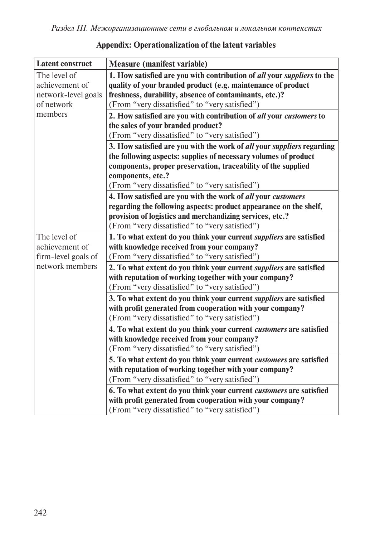| <b>Latent construct</b> | <b>Measure (manifest variable)</b>                                            |
|-------------------------|-------------------------------------------------------------------------------|
| The level of            | 1. How satisfied are you with contribution of all your suppliers to the       |
| achievement of          | quality of your branded product (e.g. maintenance of product                  |
| network-level goals     | freshness, durability, absence of contaminants, etc.)?                        |
| of network              | (From "very dissatisfied" to "very satisfied")                                |
| members                 | 2. How satisfied are you with contribution of all your customers to           |
|                         | the sales of your branded product?                                            |
|                         | (From "very dissatisfied" to "very satisfied")                                |
|                         | 3. How satisfied are you with the work of all your <i>suppliers</i> regarding |
|                         | the following aspects: supplies of necessary volumes of product               |
|                         | components, proper preservation, traceability of the supplied                 |
|                         | components, etc.?                                                             |
|                         | (From "very dissatisfied" to "very satisfied")                                |
|                         | 4. How satisfied are you with the work of all your customers                  |
|                         | regarding the following aspects: product appearance on the shelf,             |
|                         | provision of logistics and merchandizing services, etc.?                      |
|                         | (From "very dissatisfied" to "very satisfied")                                |
| The level of            | 1. To what extent do you think your current <i>suppliers</i> are satisfied    |
| achievement of          | with knowledge received from your company?                                    |
| firm-level goals of     | (From "very dissatisfied" to "very satisfied")                                |
| network members         | 2. To what extent do you think your current <i>suppliers</i> are satisfied    |
|                         | with reputation of working together with your company?                        |
|                         | (From "very dissatisfied" to "very satisfied")                                |
|                         | 3. To what extent do you think your current <i>suppliers</i> are satisfied    |
|                         | with profit generated from cooperation with your company?                     |
|                         | (From "very dissatisfied" to "very satisfied")                                |
|                         | 4. To what extent do you think your current customers are satisfied           |
|                         | with knowledge received from your company?                                    |
|                         | (From "very dissatisfied" to "very satisfied")                                |
|                         | 5. To what extent do you think your current customers are satisfied           |
|                         | with reputation of working together with your company?                        |
|                         | (From "very dissatisfied" to "very satisfied")                                |
|                         | 6. To what extent do you think your current customers are satisfied           |
|                         | with profit generated from cooperation with your company?                     |
|                         | (From "very dissatisfied" to "very satisfied")                                |

## **Appendix: Operationalization of the latent variables**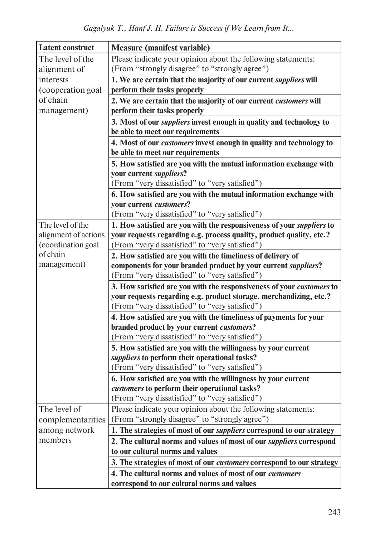| Latent construct         | <b>Measure (manifest variable)</b>                                                                              |
|--------------------------|-----------------------------------------------------------------------------------------------------------------|
| The level of the         | Please indicate your opinion about the following statements:                                                    |
| alignment of             | (From "strongly disagree" to "strongly agree")                                                                  |
| interests                | 1. We are certain that the majority of our current <i>suppliers</i> will                                        |
| (cooperation goal        | perform their tasks properly                                                                                    |
| of chain                 | 2. We are certain that the majority of our current customers will                                               |
| management)              | perform their tasks properly                                                                                    |
|                          | 3. Most of our <i>suppliers</i> invest enough in quality and technology to                                      |
|                          | be able to meet our requirements                                                                                |
|                          | 4. Most of our <i>customers</i> invest enough in quality and technology to                                      |
|                          | be able to meet our requirements                                                                                |
|                          | 5. How satisfied are you with the mutual information exchange with                                              |
|                          | your current suppliers?                                                                                         |
|                          | (From "very dissatisfied" to "very satisfied")                                                                  |
|                          | 6. How satisfied are you with the mutual information exchange with                                              |
|                          | your current customers?                                                                                         |
|                          | (From "very dissatisfied" to "very satisfied")                                                                  |
| The level of the         | 1. How satisfied are you with the responsiveness of your <i>suppliers</i> to                                    |
| alignment of actions     | your requests regarding e.g. process quality, product quality, etc.?                                            |
| (coordination goal       | (From "very dissatisfied" to "very satisfied")                                                                  |
| of chain                 | 2. How satisfied are you with the timeliness of delivery of                                                     |
| management)              | components for your branded product by your current suppliers?                                                  |
|                          | (From "very dissatisfied" to "very satisfied")                                                                  |
|                          | 3. How satisfied are you with the responsiveness of your <i>customers</i> to                                    |
|                          | your requests regarding e.g. product storage, merchandizing, etc.?                                              |
|                          | (From "very dissatisfied" to "very satisfied")                                                                  |
|                          | 4. How satisfied are you with the timeliness of payments for your                                               |
|                          | branded product by your current customers?                                                                      |
|                          | (From "very dissatisfied" to "very satisfied")                                                                  |
|                          | 5. How satisfied are you with the willingness by your current                                                   |
|                          | suppliers to perform their operational tasks?                                                                   |
|                          | (From "very dissatisfied" to "very satisfied")                                                                  |
|                          | 6. How satisfied are you with the willingness by your current                                                   |
|                          | customers to perform their operational tasks?                                                                   |
| The level of             | (From "very dissatisfied" to "very satisfied")                                                                  |
|                          | Please indicate your opinion about the following statements:<br>(From "strongly disagree" to "strongly agree")  |
| complementarities        |                                                                                                                 |
| among network<br>members | 1. The strategies of most of our suppliers correspond to our strategy                                           |
|                          | 2. The cultural norms and values of most of our <i>suppliers</i> correspond<br>to our cultural norms and values |
|                          |                                                                                                                 |
|                          | 3. The strategies of most of our <i>customers</i> correspond to our strategy                                    |
|                          | 4. The cultural norms and values of most of our <i>customers</i>                                                |
|                          | correspond to our cultural norms and values                                                                     |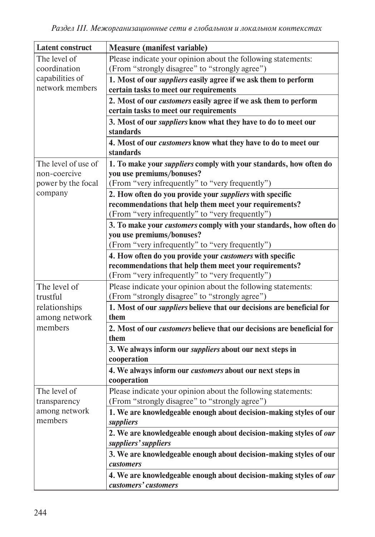| <b>Latent construct</b> | <b>Measure (manifest variable)</b>                                                                     |
|-------------------------|--------------------------------------------------------------------------------------------------------|
| The level of            | Please indicate your opinion about the following statements:                                           |
| coordination            | (From "strongly disagree" to "strongly agree")                                                         |
| capabilities of         | 1. Most of our <i>suppliers</i> easily agree if we ask them to perform                                 |
| network members         | certain tasks to meet our requirements                                                                 |
|                         | 2. Most of our <i>customers</i> easily agree if we ask them to perform                                 |
|                         | certain tasks to meet our requirements                                                                 |
|                         | 3. Most of our <i>suppliers</i> know what they have to do to meet our                                  |
|                         | standards                                                                                              |
|                         | 4. Most of our <i>customers</i> know what they have to do to meet our                                  |
|                         | standards                                                                                              |
| The level of use of     | 1. To make your <i>suppliers</i> comply with your standards, how often do                              |
| non-coercive            | you use premiums/bonuses?                                                                              |
| power by the focal      | (From "very infrequently" to "very frequently")                                                        |
| company                 | 2. How often do you provide your <i>suppliers</i> with specific                                        |
|                         | recommendations that help them meet your requirements?                                                 |
|                         | (From "very infrequently" to "very frequently")                                                        |
|                         | 3. To make your <i>customers</i> comply with your standards, how often do<br>you use premiums/bonuses? |
|                         | (From "very infrequently" to "very frequently")                                                        |
|                         | 4. How often do you provide your <i>customers</i> with specific                                        |
|                         | recommendations that help them meet your requirements?                                                 |
|                         | (From "very infrequently" to "very frequently")                                                        |
| The level of            | Please indicate your opinion about the following statements:                                           |
| trustful                | (From "strongly disagree" to "strongly agree")                                                         |
| relationships           | 1. Most of our <i>suppliers</i> believe that our decisions are beneficial for                          |
| among network           | them                                                                                                   |
| members                 | 2. Most of our <i>customers</i> believe that our decisions are beneficial for                          |
|                         | them                                                                                                   |
|                         | 3. We always inform our <i>suppliers</i> about our next steps in                                       |
|                         | cooperation                                                                                            |
|                         | 4. We always inform our customers about our next steps in                                              |
|                         | cooperation                                                                                            |
| The level of            | Please indicate your opinion about the following statements:                                           |
| transparency            | (From "strongly disagree" to "strongly agree")                                                         |
| among network           | 1. We are knowledgeable enough about decision-making styles of our                                     |
| members                 | suppliers                                                                                              |
|                         | 2. We are knowledgeable enough about decision-making styles of our                                     |
|                         | suppliers' suppliers                                                                                   |
|                         | 3. We are knowledgeable enough about decision-making styles of our                                     |
|                         | customers                                                                                              |
|                         | 4. We are knowledgeable enough about decision-making styles of our                                     |
|                         | customers' customers                                                                                   |